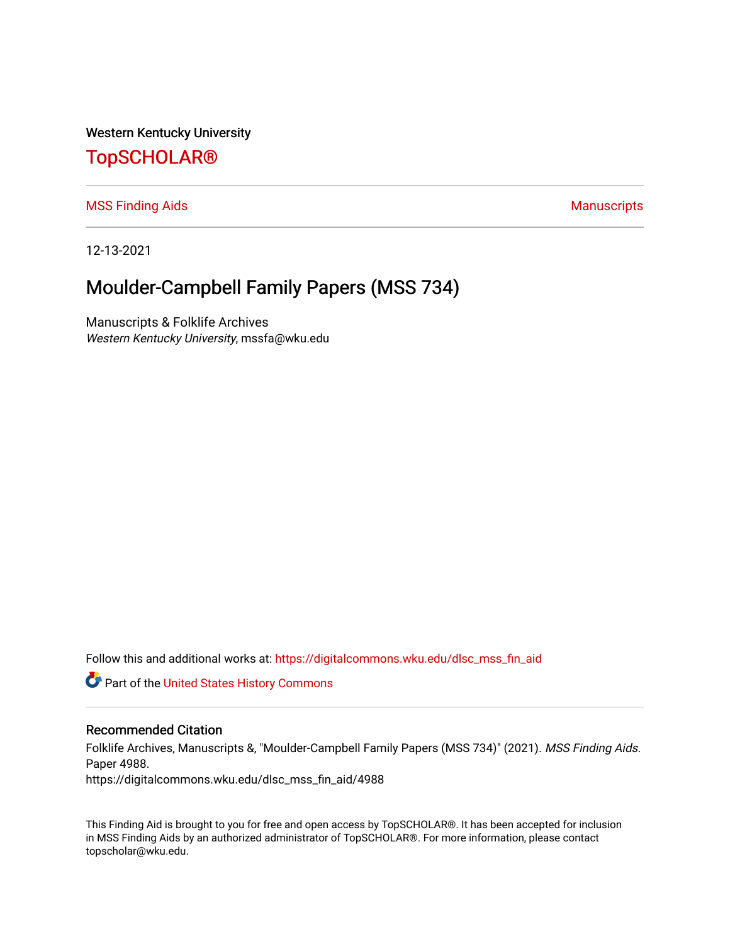Western Kentucky University

# [TopSCHOLAR®](https://digitalcommons.wku.edu/)

#### [MSS Finding Aids](https://digitalcommons.wku.edu/dlsc_mss_fin_aid) **Manuscripts** [Manuscripts](https://digitalcommons.wku.edu/dlsc_mss) **Manuscripts**

12-13-2021

# Moulder-Campbell Family Papers (MSS 734)

Manuscripts & Folklife Archives Western Kentucky University, mssfa@wku.edu

Follow this and additional works at: [https://digitalcommons.wku.edu/dlsc\\_mss\\_fin\\_aid](https://digitalcommons.wku.edu/dlsc_mss_fin_aid?utm_source=digitalcommons.wku.edu%2Fdlsc_mss_fin_aid%2F4988&utm_medium=PDF&utm_campaign=PDFCoverPages) 

**C** Part of the United States History Commons

#### Recommended Citation

Folklife Archives, Manuscripts &, "Moulder-Campbell Family Papers (MSS 734)" (2021). MSS Finding Aids. Paper 4988.

https://digitalcommons.wku.edu/dlsc\_mss\_fin\_aid/4988

This Finding Aid is brought to you for free and open access by TopSCHOLAR®. It has been accepted for inclusion in MSS Finding Aids by an authorized administrator of TopSCHOLAR®. For more information, please contact topscholar@wku.edu.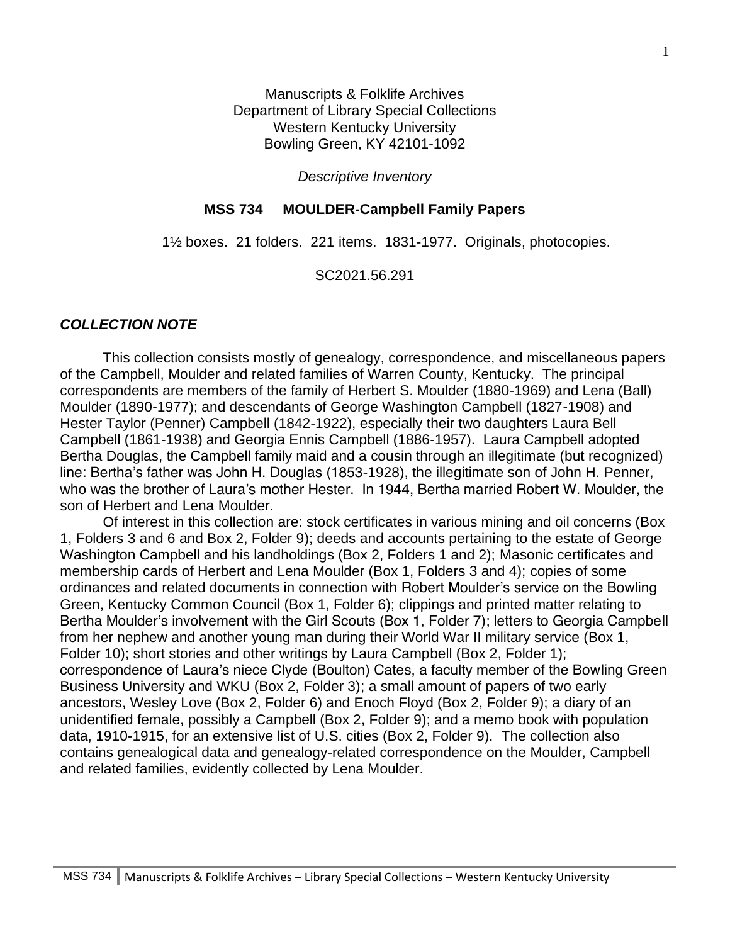Manuscripts & Folklife Archives Department of Library Special Collections Western Kentucky University Bowling Green, KY 42101-1092

*Descriptive Inventory*

#### **MSS 734 MOULDER-Campbell Family Papers**

1½ boxes. 21 folders. 221 items. 1831-1977. Originals, photocopies.

SC2021.56.291

#### *COLLECTION NOTE*

This collection consists mostly of genealogy, correspondence, and miscellaneous papers of the Campbell, Moulder and related families of Warren County, Kentucky. The principal correspondents are members of the family of Herbert S. Moulder (1880-1969) and Lena (Ball) Moulder (1890-1977); and descendants of George Washington Campbell (1827-1908) and Hester Taylor (Penner) Campbell (1842-1922), especially their two daughters Laura Bell Campbell (1861-1938) and Georgia Ennis Campbell (1886-1957). Laura Campbell adopted Bertha Douglas, the Campbell family maid and a cousin through an illegitimate (but recognized) line: Bertha's father was John H. Douglas (1853-1928), the illegitimate son of John H. Penner, who was the brother of Laura's mother Hester. In 1944, Bertha married Robert W. Moulder, the son of Herbert and Lena Moulder.

Of interest in this collection are: stock certificates in various mining and oil concerns (Box 1, Folders 3 and 6 and Box 2, Folder 9); deeds and accounts pertaining to the estate of George Washington Campbell and his landholdings (Box 2, Folders 1 and 2); Masonic certificates and membership cards of Herbert and Lena Moulder (Box 1, Folders 3 and 4); copies of some ordinances and related documents in connection with Robert Moulder's service on the Bowling Green, Kentucky Common Council (Box 1, Folder 6); clippings and printed matter relating to Bertha Moulder's involvement with the Girl Scouts (Box 1, Folder 7); letters to Georgia Campbell from her nephew and another young man during their World War II military service (Box 1, Folder 10); short stories and other writings by Laura Campbell (Box 2, Folder 1); correspondence of Laura's niece Clyde (Boulton) Cates, a faculty member of the Bowling Green Business University and WKU (Box 2, Folder 3); a small amount of papers of two early ancestors, Wesley Love (Box 2, Folder 6) and Enoch Floyd (Box 2, Folder 9); a diary of an unidentified female, possibly a Campbell (Box 2, Folder 9); and a memo book with population data, 1910-1915, for an extensive list of U.S. cities (Box 2, Folder 9). The collection also contains genealogical data and genealogy-related correspondence on the Moulder, Campbell and related families, evidently collected by Lena Moulder.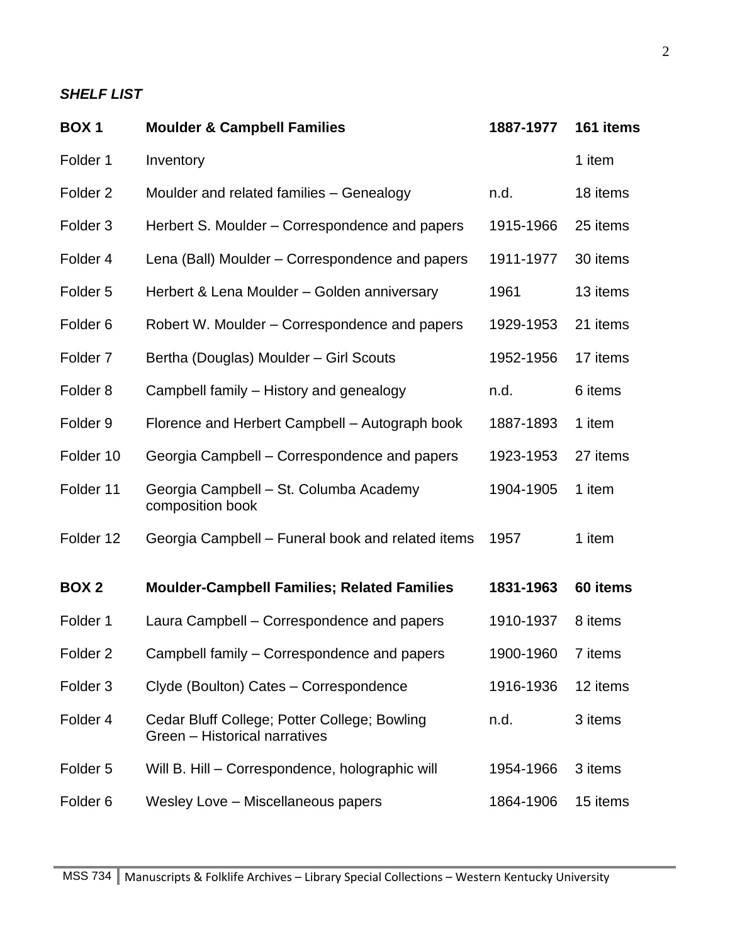## *SHELF LIST*

| <b>BOX1</b>         | <b>Moulder &amp; Campbell Families</b>                                        | 1887-1977 | 161 items |
|---------------------|-------------------------------------------------------------------------------|-----------|-----------|
| Folder 1            | Inventory                                                                     |           | 1 item    |
| Folder <sub>2</sub> | Moulder and related families - Genealogy                                      | n.d.      | 18 items  |
| Folder <sub>3</sub> | Herbert S. Moulder – Correspondence and papers                                | 1915-1966 | 25 items  |
| Folder 4            | Lena (Ball) Moulder - Correspondence and papers                               | 1911-1977 | 30 items  |
| Folder <sub>5</sub> | Herbert & Lena Moulder - Golden anniversary                                   | 1961      | 13 items  |
| Folder <sub>6</sub> | Robert W. Moulder – Correspondence and papers                                 | 1929-1953 | 21 items  |
| Folder <sub>7</sub> | Bertha (Douglas) Moulder - Girl Scouts                                        | 1952-1956 | 17 items  |
| Folder <sub>8</sub> | Campbell family – History and genealogy                                       | n.d.      | 6 items   |
| Folder <sub>9</sub> | Florence and Herbert Campbell – Autograph book                                | 1887-1893 | 1 item    |
| Folder 10           | Georgia Campbell – Correspondence and papers                                  | 1923-1953 | 27 items  |
| Folder 11           | Georgia Campbell - St. Columba Academy<br>composition book                    | 1904-1905 | 1 item    |
| Folder 12           | Georgia Campbell – Funeral book and related items                             | 1957      | 1 item    |
| <b>BOX 2</b>        | <b>Moulder-Campbell Families; Related Families</b>                            | 1831-1963 | 60 items  |
| Folder 1            | Laura Campbell – Correspondence and papers                                    | 1910-1937 | 8 items   |
| Folder 2            | Campbell family - Correspondence and papers                                   | 1900-1960 | 7 items   |
| Folder <sub>3</sub> | Clyde (Boulton) Cates - Correspondence                                        | 1916-1936 | 12 items  |
| Folder 4            | Cedar Bluff College; Potter College; Bowling<br>Green - Historical narratives | n.d.      | 3 items   |
| Folder <sub>5</sub> | Will B. Hill - Correspondence, holographic will                               | 1954-1966 | 3 items   |
| Folder <sub>6</sub> | Wesley Love - Miscellaneous papers                                            | 1864-1906 | 15 items  |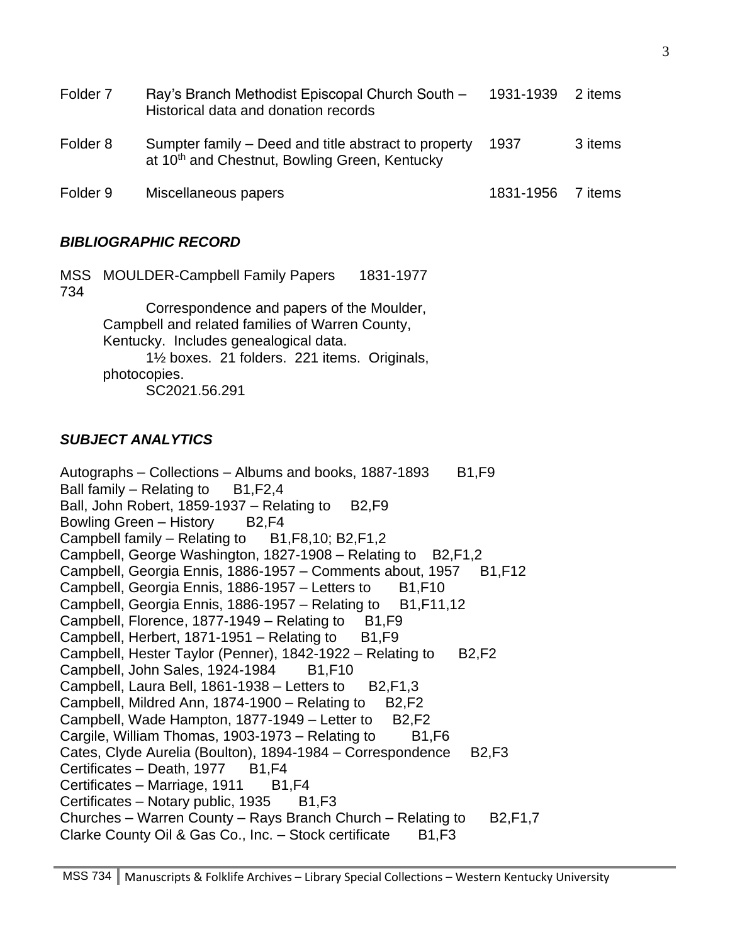| Folder <sub>7</sub> | Ray's Branch Methodist Episcopal Church South -<br>Historical data and donation records                           | 1931-1939 | 2 items |
|---------------------|-------------------------------------------------------------------------------------------------------------------|-----------|---------|
| Folder 8            | Sumpter family – Deed and title abstract to property<br>at 10 <sup>th</sup> and Chestnut, Bowling Green, Kentucky | 1937      | 3 items |
| Folder 9            | Miscellaneous papers                                                                                              | 1831-1956 | 7 items |

### *BIBLIOGRAPHIC RECORD*

MSS MOULDER-Campbell Family Papers 1831-1977 734 Correspondence and papers of the Moulder, Campbell and related families of Warren County, Kentucky. Includes genealogical data. 1½ boxes. 21 folders. 221 items. Originals, photocopies. SC2021.56.291

### *SUBJECT ANALYTICS*

Autographs – Collections – Albums and books, 1887-1893  $B1,F9$ Ball family – Relating to  $B1, F2, 4$ Ball, John Robert, 1859-1937 – Relating to  $B2,F9$ Bowling Green – History B2,F4 Campbell family – Relating to  $B1, F8, 10$ ; B2,  $F1, 2$ Campbell, George Washington, 1827-1908 – Relating to B2, F1, 2 Campbell, Georgia Ennis, 1886-1957 – Comments about, 1957 B1, F12 Campbell, Georgia Ennis, 1886-1957 – Letters to  $B1,F10$ Campbell, Georgia Ennis, 1886-1957 – Relating to  $B1, F11, 12$ Campbell, Florence, 1877-1949 – Relating to  $B1,F9$ Campbell, Herbert, 1871-1951 – Relating to  $B1.F9$ Campbell, Hester Taylor (Penner),  $1842-1922 -$ Relating to B2,F2 Campbell, John Sales, 1924-1984 B1, F10 Campbell, Laura Bell, 1861-1938 – Letters to  $B2, F1, 3$ Campbell, Mildred Ann, 1874-1900 – Relating to  $B2,F2$ Campbell, Wade Hampton,  $1877-1949$  – Letter to B2, F2 Cargile, William Thomas, 1903-1973 – Relating to  $B1,F6$ Cates, Clyde Aurelia (Boulton), 1894-1984 – Correspondence B2, F3 Certificates – Death, 1977 B1, F4 Certificates – Marriage, 1911  $B1, F4$ Certificates – Notary public, 1935 B1, F3 Churches – Warren County – Rays Branch Church – Relating to B2, F1, 7 Clarke County Oil & Gas Co., Inc.  $-$  Stock certificate  $-B1,F3$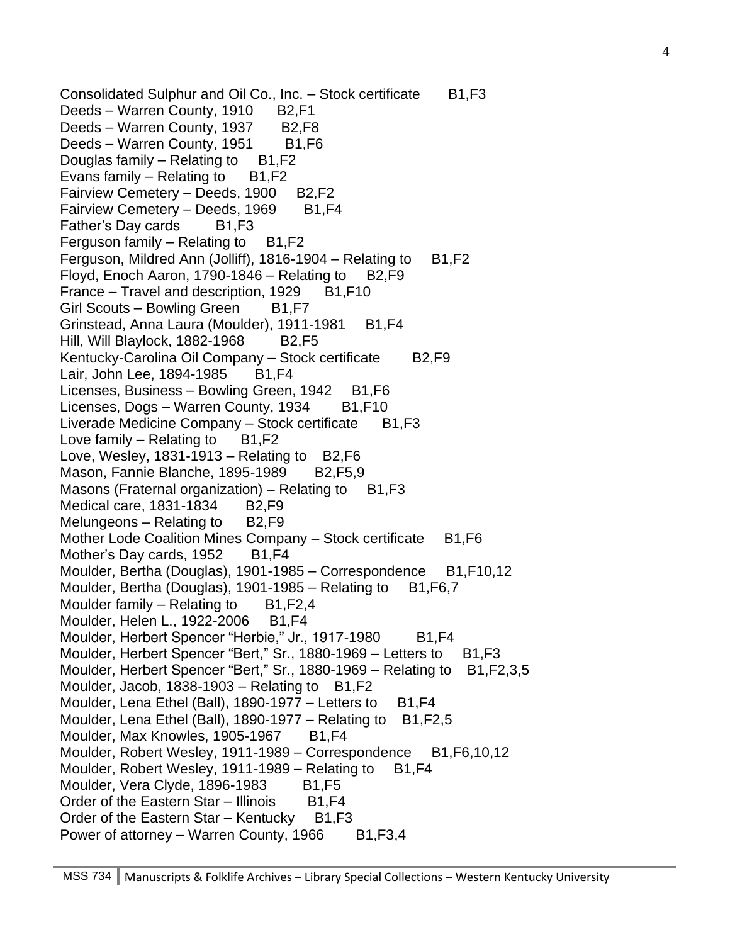Consolidated Sulphur and Oil Co., Inc. - Stock certificate B1,F3 Deeds – Warren County, 1910 B2, F1 Deeds – Warren County, 1937 B2,F8 Deeds – Warren County, 1951 B1, F6 Douglas family  $-$  Relating to  $-B1, F2$ Evans family  $-$  Relating to  $B1, F2$ Fairview Cemetery – Deeds, 1900 B2,F2 Fairview Cemetery – Deeds, 1969 B1, F4 Father's Day cards B1, F3 Ferguson family – Relating to  $B1, F2$ Ferguson, Mildred Ann (Jolliff),  $1816-1904$  – Relating to B1, F2 Floyd, Enoch Aaron, 1790-1846 – Relating to  $B2$ , F9 France – Travel and description,  $1929$  B1, F10 Girl Scouts – Bowling Green B1, F7 Grinstead, Anna Laura (Moulder), 1911-1981 B1, F4 Hill, Will Blaylock, 1882-1968 B2, F5 Kentucky-Carolina Oil Company – Stock certificate B2,F9 Lair, John Lee, 1894-1985 B1, F4 Licenses, Business – Bowling Green, 1942 B1, F6 Licenses, Dogs – Warren County, 1934 B1, F10 Liverade Medicine Company  $-$  Stock certificate B1, F3 Love family  $-$  Relating to  $-B1,F2$ Love, Wesley, 1831-1913 – Relating to  $B2,F6$ Mason, Fannie Blanche, 1895-1989 B2, F5, 9 Masons (Fraternal organization) – Relating to  $B1,F3$ Medical care, 1831-1834 B2, F9 Melungeons  $-$  Relating to  $B2$ , F9 Mother Lode Coalition Mines Company – Stock certificate B1, F6 Mother's Day cards, 1952 B1, F4 Moulder, Bertha (Douglas), 1901-1985 – Correspondence B1,F10,12 Moulder, Bertha (Douglas), 1901-1985 – Relating to  $B1,F6,7$ Moulder family  $-$  Relating to  $B1, F2, 4$ Moulder, Helen L., 1922-2006 B1, F4 Moulder, Herbert Spencer "Herbie," Jr., 1917-1980 B1, F4 Moulder, Herbert Spencer "Bert," Sr., 1880-1969 – Letters to B1, F3 Moulder, Herbert Spencer "Bert," Sr., 1880-1969 – Relating to B1, F2, 3, 5 Moulder, Jacob, 1838-1903 – Relating to  $B1, F2$ Moulder, Lena Ethel (Ball),  $1890-1977$  – Letters to B1, F4 Moulder, Lena Ethel (Ball), 1890-1977 – Relating to  $B1, F2, 5$ Moulder, Max Knowles, 1905-1967 B1, F4 Moulder, Robert Wesley, 1911-1989 – Correspondence B1, F6, 10, 12 Moulder, Robert Wesley, 1911-1989 – Relating to  $B1, F4$ Moulder, Vera Clyde, 1896-1983 B1, F5 Order of the Eastern Star – Illinois B1, F4 Order of the Eastern Star – Kentucky  $B1,F3$ Power of attorney – Warren County, 1966  $B1, F3, 4$